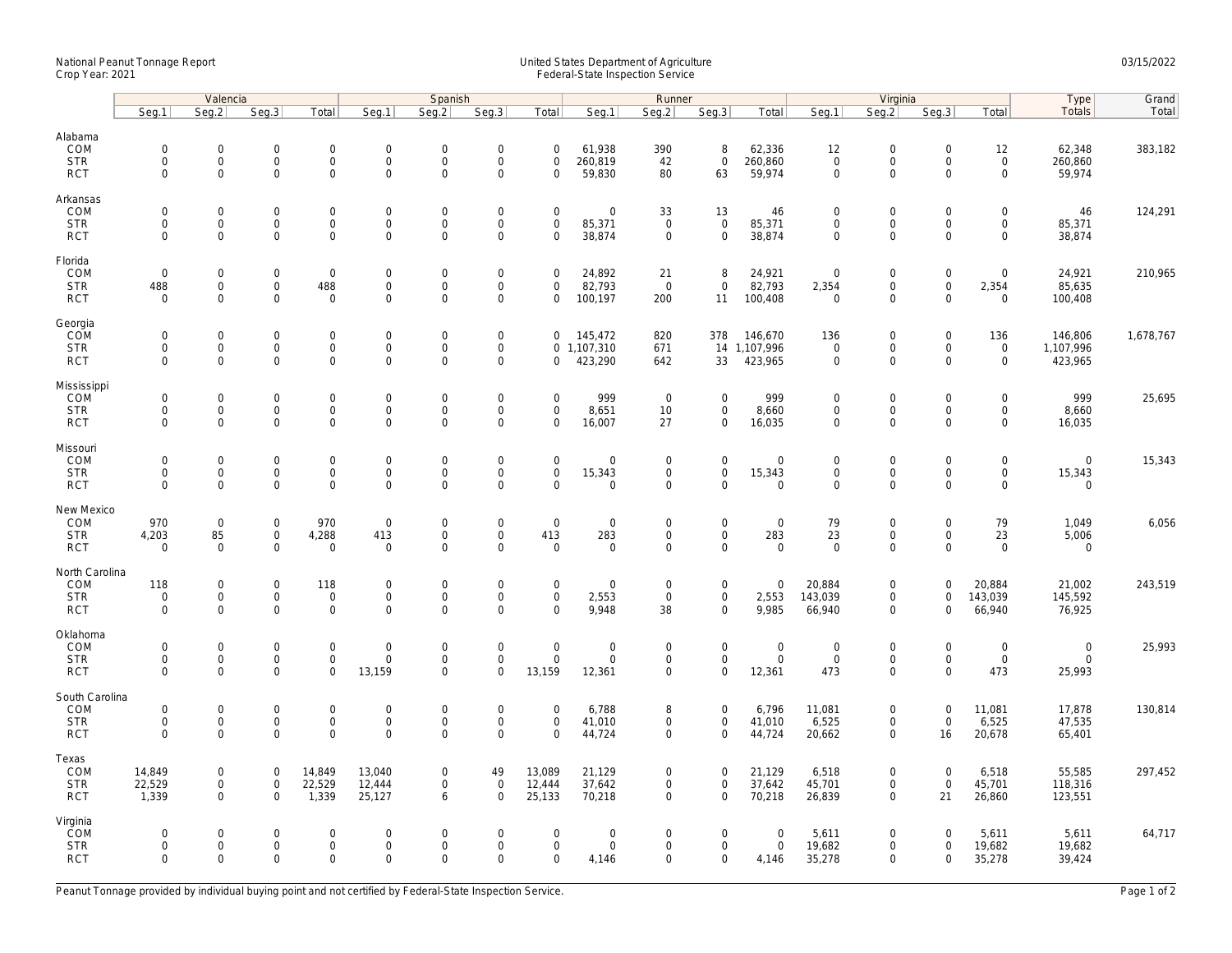## National Peanut Tonnage Report United States Department of Agriculture 03/15/2022<br>Crop Year: 2021 Federal-State Inspection Service

|                          | Valencia                   |                                     |                                    |                                    | Spanish                     |                                    |                                    |                                 | Runner                       |                                    |                                    |                         | Virginia                           |                                            |                            |                                     | Type                  | Grand     |
|--------------------------|----------------------------|-------------------------------------|------------------------------------|------------------------------------|-----------------------------|------------------------------------|------------------------------------|---------------------------------|------------------------------|------------------------------------|------------------------------------|-------------------------|------------------------------------|--------------------------------------------|----------------------------|-------------------------------------|-----------------------|-----------|
|                          | Seq.1                      | Seg.2                               | Seq.3                              | Total                              | Seg.1                       | Seq.2                              | Seg.3                              | Total                           | Seg.1                        | Seg.2                              | Seq.3                              | Total                   | Seg.1                              | Seg.2                                      | Seg.3                      | Total                               | Totals                | Total     |
| Alabama<br>COM           | $\mathbf 0$                | $\mathsf{O}\xspace$                 | $\mathbf 0$                        | $\mathsf{O}\xspace$                | $\mathbf 0$                 | $\mathbf 0$                        | $\mathsf{O}\xspace$                | $\mathbf 0$                     | 61,938                       | 390                                | 8                                  | 62,336                  | 12                                 | $\mathbf 0$                                | $\mathsf 0$                | 12                                  | 62,348                | 383,182   |
| <b>STR</b><br><b>RCT</b> | $\mathbf 0$<br>$\mathbf 0$ | $\mathbf 0$<br>$\mathbf 0$          | $\mathsf 0$<br>$\mathbf 0$         | $\mathsf{O}\xspace$<br>$\mathbf 0$ | $\mathsf{O}$<br>$\mathbf 0$ | $\mathbf 0$<br>$\mathbf 0$         | $\mathsf 0$<br>$\mathbf 0$         | $\mathbf 0$<br>$\Omega$         | 260,819<br>59,830            | 42<br>80                           | $\mathsf 0$<br>63                  | 260,860<br>59,974       | $\mathbf 0$<br>$\mathbf 0$         | $\mathsf{O}$<br>$\mathbf 0$                | $\mathbf 0$<br>$\Omega$    | $\mathsf{O}\xspace$<br>$\mathbf{O}$ | 260,860<br>59,974     |           |
| Arkansas<br>COM          | $\Omega$                   | $\mathbf{0}$                        | $\mathbf 0$                        | $\mathsf{O}\xspace$                | $\mathbf 0$                 | $\mathbf 0$                        | $\mathsf{O}\xspace$                | $\mathbf 0$                     | $\mathbf 0$                  | 33                                 | 13                                 | 46                      | $\mathbf 0$                        | $\mathbf 0$                                | $\Omega$                   | $\mathbf 0$                         | 46                    | 124,291   |
| <b>STR</b><br><b>RCT</b> | $\mathbf 0$<br>$\mathbf 0$ | $\mathbf 0$<br>$\mathbf 0$          | $\mathbf 0$<br>$\mathbf 0$         | $\mathbf 0$<br>$\mathbf{0}$        | $\mathsf{O}$<br>$\mathbf 0$ | $\mathsf 0$<br>$\mathbf 0$         | $\mathsf{O}\xspace$<br>$\mathbf 0$ | $\mathsf 0$<br>$\mathbf 0$      | 85,371<br>38,874             | $\mathbf 0$<br>$\mathbf 0$         | $\mathbf 0$<br>$\mathbf{0}$        | 85,371<br>38,874        | $\mathsf{O}\xspace$<br>$\mathbf 0$ | $\mathsf{O}\xspace$<br>$\mathbf 0$         | $\mathbf 0$<br>$\mathbf 0$ | $\mathsf{O}$<br>$\mathbf 0$         | 85,371<br>38,874      |           |
| Florida<br>COM           | $\mathbf 0$                | $\mathbf 0$                         | $\mathbf 0$                        | $\mathbf 0$                        | $\mathsf{O}$                | $\mathbf 0$                        | $\mathsf{O}\xspace$                | $\mathbf 0$                     | 24,892                       | 21                                 | 8                                  | 24,921                  | $\mathbf 0$                        | $\mathsf{O}\xspace$                        | $\mathsf 0$                | $\mathsf{O}\xspace$                 | 24,921                | 210,965   |
| <b>STR</b><br><b>RCT</b> | 488<br>$\mathbf 0$         | $\mathsf{O}\xspace$<br>$\mathbf 0$  | $\mathbf 0$<br>$\mathbf 0$         | 488<br>$\mathbf 0$                 | $\mathbf 0$<br>$\mathbf 0$  | $\mathbf 0$<br>$\mathbf 0$         | $\mathsf{O}\xspace$<br>$\mathbf 0$ | $\mathbf 0$<br>$\mathbf 0$      | 82,793<br>100,197            | $\overline{0}$<br>200              | $\mathbf 0$<br>11                  | 82,793<br>100,408       | 2,354<br>$\overline{0}$            | $\mathsf{O}\xspace$<br>$\mathbf 0$         | $\mathsf 0$<br>$\mathbf 0$ | 2,354<br>$\mathbf 0$                | 85,635<br>100,408     |           |
| Georgia<br>COM           | $\mathbf 0$                | $\mathsf{O}\xspace$                 | $\mathbf 0$                        | $\mathbf 0$                        | $\mathbf 0$                 | $\mathbf 0$                        | $\mathsf{O}\xspace$                | $\mathbf 0$                     | 145,472                      | 820                                | 378                                | 146,670                 | 136                                | $\mathsf{O}\xspace$                        | $\mathsf 0$                | 136                                 | 146,806               | 1,678,767 |
| <b>STR</b><br><b>RCT</b> | $\mathbf 0$<br>$\Omega$    | $\mathsf{O}\xspace$<br>$\Omega$     | $\mathbf 0$<br>$\mathbf 0$         | $\mathbf 0$<br>$\mathbf{0}$        | $\mathbf 0$<br>$\mathbf 0$  | $\mathsf 0$<br>$\Omega$            | $\mathsf{O}\xspace$<br>$\mathbf 0$ | 0                               | $0$ 1,107,310<br>423,290     | 671<br>642                         | 33                                 | 14 1,107,996<br>423,965 | $\mathsf 0$<br>$\mathbf 0$         | $\mathsf{O}\xspace$<br>$\mathbf 0$         | $\mathsf 0$<br>$\Omega$    | $\mathbf 0$<br>$\mathbf{0}$         | 1,107,996<br>423,965  |           |
| Mississippi<br>COM       | $\mathbf 0$                | $\mathbf{0}$                        | $\mathbf 0$                        | $\mathbf 0$                        | $\mathbf 0$                 | $\mathbf 0$                        | $\mathbf 0$                        | $\mathbf 0$                     | 999                          | $\overline{0}$                     | $\mathbf 0$                        | 999                     | $\mathbf 0$                        | $\mathbf{0}$                               | $\mathbf 0$                | $\mathbf 0$                         | 999                   | 25,695    |
| <b>STR</b><br><b>RCT</b> | 0<br>$\mathbf 0$           | $\mathsf{O}\xspace$<br>$\mathbf 0$  | $\mathbf 0$<br>$\mathbf 0$         | 0<br>$\mathbf 0$                   | $\mathsf{O}$<br>$\mathbf 0$ | $\mathbf 0$<br>$\mathbf 0$         | $\mathsf 0$<br>$\mathbf 0$         | $\mathbf 0$<br>$\mathbf 0$      | 8,651<br>16,007              | 10<br>27                           | $\mathsf{O}\xspace$<br>$\mathbf 0$ | 8,660<br>16,035         | $\mathsf{O}\xspace$<br>$\mathbf 0$ | $\mathsf{O}\xspace$<br>$\mathbf 0$         | 0<br>$\mathbf 0$           | $\mathsf{O}\xspace$<br>$\mathbf{0}$ | 8,660<br>16,035       |           |
| Missouri<br>COM          | $\mathbf 0$                | $\mathsf{O}\xspace$                 | $\mathbf 0$                        | $\mathsf{O}\xspace$                | $\mathbf 0$                 | $\mathbf 0$                        | $\mathsf{O}\xspace$                | $\mathbf 0$                     | $\mathbf 0$                  | $\mathbf 0$                        | $\mathsf{O}\xspace$                | $\mathbf 0$             | $\mathbf 0$                        | $\mathbf 0$                                | $\mathbf 0$                | $\mathbf 0$                         | $\mathbf{0}$          | 15,343    |
| <b>STR</b><br><b>RCT</b> | $\mathbf 0$<br>$\mathbf 0$ | $\mathbf 0$<br>$\mathbf 0$          | $\mathbf 0$<br>$\mathbf 0$         | $\mathbf 0$<br>$\mathbf 0$         | $\mathsf{O}$<br>$\mathbf 0$ | $\mathsf{O}\xspace$<br>$\mathbf 0$ | $\mathbf 0$<br>$\mathbf 0$         | $\mathsf{O}\xspace$<br>$\Omega$ | 15,343<br>$\mathbf 0$        | $\mathsf{O}\xspace$<br>$\mathbf 0$ | $\mathbf 0$<br>$\mathbf 0$         | 15,343<br>$\mathsf 0$   | $\mathbf 0$<br>$\mathsf{O}\xspace$ | $\mathbf 0$<br>$\mathbf 0$                 | $\mathbf 0$<br>$\mathbf 0$ | $\mathsf{O}$<br>$\mathbf 0$         | 15,343<br>$\mathbf 0$ |           |
| New Mexico<br>COM        | 970                        | $\mathsf{O}\xspace$                 | $\mathbf 0$                        | 970                                | $\boldsymbol{0}$            | $\mathbf 0$                        | $\mathsf{O}\xspace$                | $\mathsf 0$                     | $\mathbf 0$                  | $\mathbf 0$                        | $\mathbf 0$                        | $\mathsf{O}$            | 79                                 | $\mathsf{O}\xspace$                        | $\mathbf 0$                | 79                                  | 1,049                 | 6,056     |
| <b>STR</b><br><b>RCT</b> | 4,203<br>$\mathbf 0$       | 85<br>$\mathbf 0$                   | $\mathsf{O}\xspace$<br>$\mathbf 0$ | 4,288<br>$\mathbf 0$               | 413<br>$\mathbf 0$          | $\mathsf 0$<br>$\mathbf 0$         | $\mathsf{O}\xspace$<br>$\mathbf 0$ | 413<br>$\mathbf 0$              | 283<br>$\mathbf 0$           | $\mathsf{O}\xspace$<br>$\mathbf 0$ | $\mathbf 0$<br>$\mathbf{0}$        | 283<br>$\mathbf{0}$     | 23<br>$\mathbf 0$                  | $\mathsf{O}\xspace$<br>$\mathbf 0$         | $\mathbf 0$<br>$\Omega$    | 23<br>$\mathbf 0$                   | 5,006<br>$\mathbf 0$  |           |
| North Carolina<br>COM    | 118                        | $\mathsf{O}\xspace$                 | $\mathbf 0$                        | 118                                | $\mathbf 0$                 | $\mathbf 0$                        | $\mathsf{O}\xspace$                | $\mathsf 0$                     | $\mathsf{O}\xspace$          | $\mathbf 0$                        | $\mathsf{O}\xspace$                | $\mathsf{O}$            | 20,884                             | $\mathsf{O}\xspace$                        | $\mathbf 0$                | 20,884                              | 21,002                | 243,519   |
| <b>STR</b><br><b>RCT</b> | $\mathbf 0$<br>$\mathbf 0$ | $\mathbf 0$<br>$\mathbf 0$          | $\mathsf 0$<br>$\mathbf 0$         | $\mathbf 0$<br>$\mathbf 0$         | $\mathbf 0$<br>$\mathbf 0$  | $\mathsf 0$<br>$\Omega$            | $\mathsf{O}\xspace$<br>$\mathbf 0$ | $\mathsf 0$<br>$\Omega$         | 2,553<br>9,948               | $\mathsf 0$<br>38                  | $\mathbf 0$<br>$\mathbf 0$         | 2,553<br>9,985          | 143,039<br>66,940                  | $\mathsf{O}\xspace$<br>$\mathbf 0$         | 0<br>$\Omega$              | 143,039<br>66,940                   | 145,592<br>76,925     |           |
| Oklahoma<br>COM          | $\mathbf 0$                | $\mathsf{O}\xspace$                 | $\mathbf 0$                        | $\mathsf{O}\xspace$                | $\mathbf 0$                 | $\mathbf 0$                        | $\mathsf{O}\xspace$                | $\mathbf 0$                     | $\mathsf{O}\xspace$          | $\mathbf 0$                        | $\mathsf{O}\xspace$                | $\boldsymbol{0}$        | $\mathbf 0$                        | $\mathsf{O}\xspace$                        | $\mathbf 0$                | $\mathsf{O}\xspace$                 | $\mathbf 0$           | 25,993    |
| <b>STR</b><br><b>RCT</b> | 0<br>$\mathbf 0$           | $\mathsf{O}$<br>$\mathbf 0$         | $\mathbf 0$<br>$\mathbf 0$         | $\mathbf 0$<br>$\mathbf 0$         | $\mathbf 0$<br>13,159       | $\mathbf 0$<br>$\mathbf 0$         | $\mathbf 0$<br>$\mathsf{O}\xspace$ | $\mathbf 0$<br>13,159           | $\mathbf 0$<br>12,361        | $\mathbf 0$<br>$\mathbf 0$         | $\mathbf 0$<br>$\mathbf 0$         | $\mathsf{O}$<br>12,361  | $\mathbf 0$<br>473                 | $\mathsf{O}\xspace$<br>$\mathsf{O}\xspace$ | $\mathbf 0$<br>$\mathbf 0$ | $\mathbf{0}$<br>473                 | $\mathbf 0$<br>25,993 |           |
| South Carolina<br>COM    | $\mathbf 0$                | 0                                   | $\mathbf 0$                        | $\mathsf{O}\xspace$                | $\mathbf 0$                 | $\mathbf 0$                        | $\mathsf{O}\xspace$                | $\mathbf 0$                     | 6,788                        | 8                                  | $\mathbf 0$                        | 6,796                   | 11,081                             | $\mathsf{O}\xspace$                        | $\boldsymbol{0}$           | 11,081                              | 17,878                | 130,814   |
| <b>STR</b><br><b>RCT</b> | $\mathbf 0$<br>$\Omega$    | $\mathsf{O}\xspace$<br>$\mathbf 0$  | $\mathsf{O}$<br>$\mathbf 0$        | $\mathbf 0$<br>$\mathbf{O}$        | $\mathsf{O}$<br>$\mathbf 0$ | $\mathsf{O}\xspace$<br>$\mathbf 0$ | $\mathsf 0$<br>$\mathbf 0$         | $\mathbf 0$<br>$\Omega$         | 41,010<br>44,724             | $\mathbf 0$<br>$\mathbf 0$         | $\mathbf 0$<br>$\mathbf 0$         | 41,010<br>44,724        | 6,525<br>20,662                    | $\mathsf{O}$<br>$\mathbf 0$                | $\mathsf{O}\xspace$<br>16  | 6,525<br>20,678                     | 47,535<br>65,401      |           |
| Texas<br>COM             | 14,849                     | $\mathsf{O}\xspace$                 | $\mathbf 0$                        | 14,849                             | 13,040                      | $\mathbf 0$                        | 49                                 | 13,089                          | 21,129                       | 0                                  | $\mathbf 0$                        | 21,129                  | 6,518                              | $\mathsf{O}\xspace$                        | $\mathbf 0$                | 6,518                               | 55,585                | 297,452   |
| <b>STR</b><br><b>RCT</b> | 22,529<br>1,339            | $\mathsf{O}\xspace$<br>$\mathbf{0}$ | $\mathsf 0$<br>$\mathbf 0$         | 22,529<br>1,339                    | 12,444<br>25,127            | $\mathbf 0$<br>6                   | $\mathsf{O}\xspace$<br>$\mathbf 0$ | 12,444<br>25,133                | 37,642<br>70,218             | 0<br>$\mathbf 0$                   | $\mathbf 0$<br>$\mathbf{0}$        | 37,642<br>70,218        | 45,701<br>26,839                   | $\mathsf{O}\xspace$<br>$\mathbf 0$         | $\mathsf{O}\xspace$<br>21  | 45,701<br>26,860                    | 118,316<br>123,551    |           |
| Virginia<br><b>COM</b>   | $\mathbf 0$                | $\mathsf{O}\xspace$                 | $\mathbf 0$                        | $\mathsf{O}\xspace$                | $\mathbf 0$                 | $\mathbf 0$                        | $\mathsf{O}\xspace$                | $\mathbf 0$                     | $\mathsf{O}\xspace$          | 0                                  | $\mathbf 0$                        | $\mathbf 0$             | 5,611                              | $\mathsf{O}\xspace$                        | $\mathbf 0$                | 5,611                               | 5,611                 | 64,717    |
| <b>STR</b><br><b>RCT</b> | $\mathbf 0$<br>$\Omega$    | $\mathsf{O}\xspace$<br>$\Omega$     | $\mathbf 0$<br>$\Omega$            | $\mathbf 0$<br>$\mathbf 0$         | $\mathbf 0$<br>$\Omega$     | $\mathbf 0$<br>$\Omega$            | $\mathsf{O}\xspace$<br>$\Omega$    | $\mathbf 0$<br>$\Omega$         | $\mathsf{O}\xspace$<br>4,146 | 0<br>$\Omega$                      | $\mathbf 0$<br>$\mathbf 0$         | $\mathbf 0$<br>4,146    | 19,682<br>35,278                   | $\mathsf{O}\xspace$<br>$\Omega$            | $\mathbf 0$<br>$\Omega$    | 19,682<br>35,278                    | 19,682<br>39,424      |           |